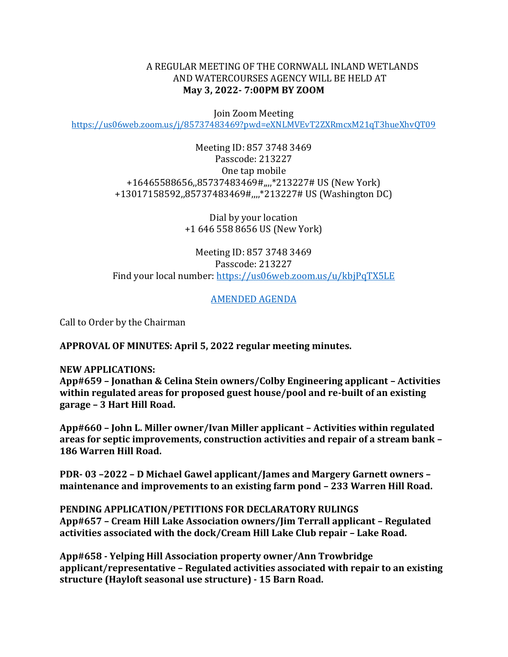## A REGULAR MEETING OF THE CORNWALL INLAND WETLANDS AND WATERCOURSES AGENCY WILL BE HELD AT **May 3, 2022- 7:00PM BY ZOOM**

Join Zoom Meeting

<https://us06web.zoom.us/j/85737483469?pwd=eXNLMVEvT2ZXRmcxM21qT3hueXhvQT09>

Meeting ID: 857 3748 3469 Passcode: 213227 One tap mobile +16465588656,,85737483469#,,,,\*213227# US (New York) +13017158592,,85737483469#,,,,\*213227# US (Washington DC)

> Dial by your location +1 646 558 8656 US (New York)

Meeting ID: 857 3748 3469 Passcode: 213227 Find your local number:<https://us06web.zoom.us/u/kbjPqTX5LE>

## AMENDED AGENDA

Call to Order by the Chairman

**APPROVAL OF MINUTES: April 5, 2022 regular meeting minutes.** 

## **NEW APPLICATIONS:**

**App#659 – Jonathan & Celina Stein owners/Colby Engineering applicant – Activities within regulated areas for proposed guest house/pool and re-built of an existing garage – 3 Hart Hill Road.**

**App#660 – John L. Miller owner/Ivan Miller applicant – Activities within regulated areas for septic improvements, construction activities and repair of a stream bank – 186 Warren Hill Road.**

**PDR- 03 –2022 – D Michael Gawel applicant/James and Margery Garnett owners – maintenance and improvements to an existing farm pond – 233 Warren Hill Road.**

**PENDING APPLICATION/PETITIONS FOR DECLARATORY RULINGS App#657 – Cream Hill Lake Association owners/Jim Terrall applicant – Regulated activities associated with the dock/Cream Hill Lake Club repair – Lake Road.** 

**App#658 - Yelping Hill Association property owner/Ann Trowbridge applicant/representative – Regulated activities associated with repair to an existing structure (Hayloft seasonal use structure) - 15 Barn Road.**